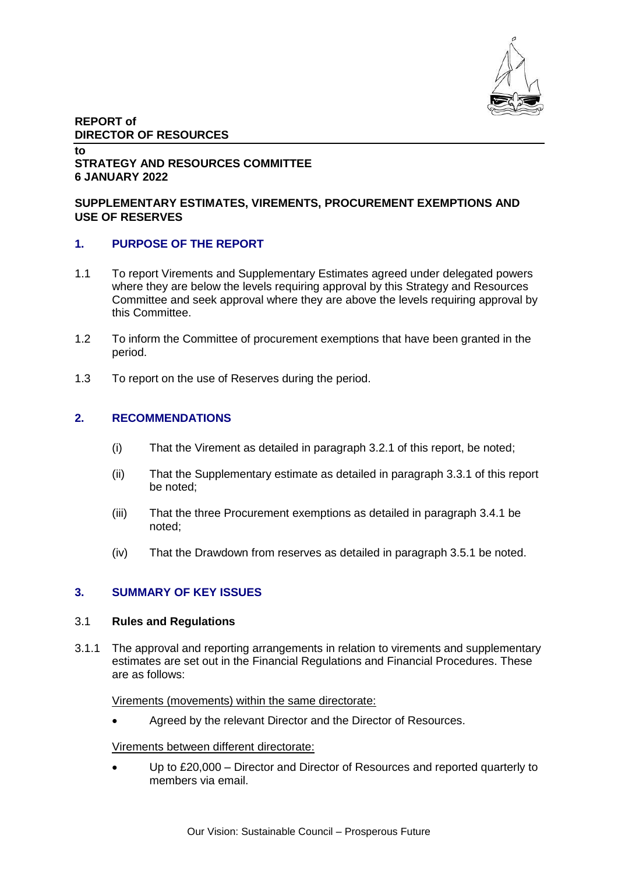

## **REPORT of DIRECTOR OF RESOURCES**

### **to STRATEGY AND RESOURCES COMMITTEE 6 JANUARY 2022**

## **SUPPLEMENTARY ESTIMATES, VIREMENTS, PROCUREMENT EXEMPTIONS AND USE OF RESERVES**

## **1. PURPOSE OF THE REPORT**

- 1.1 To report Virements and Supplementary Estimates agreed under delegated powers where they are below the levels requiring approval by this Strategy and Resources Committee and seek approval where they are above the levels requiring approval by this Committee.
- 1.2 To inform the Committee of procurement exemptions that have been granted in the period.
- 1.3 To report on the use of Reserves during the period.

## **2. RECOMMENDATIONS**

- (i) That the Virement as detailed in paragraph 3.2.1 of this report, be noted;
- (ii) That the Supplementary estimate as detailed in paragraph 3.3.1 of this report be noted;
- (iii) That the three Procurement exemptions as detailed in paragraph 3.4.1 be noted;
- (iv) That the Drawdown from reserves as detailed in paragraph 3.5.1 be noted.

## **3. SUMMARY OF KEY ISSUES**

### 3.1 **Rules and Regulations**

3.1.1 The approval and reporting arrangements in relation to virements and supplementary estimates are set out in the Financial Regulations and Financial Procedures. These are as follows:

### Virements (movements) within the same directorate:

Agreed by the relevant Director and the Director of Resources.

### Virements between different directorate:

 Up to £20,000 – Director and Director of Resources and reported quarterly to members via email.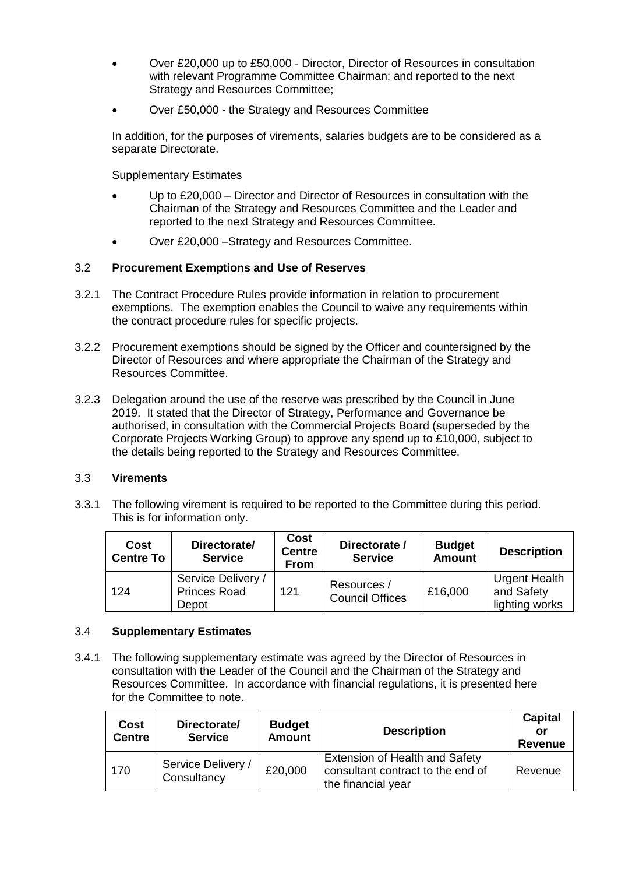- Over £20,000 up to £50,000 Director, Director of Resources in consultation with relevant Programme Committee Chairman; and reported to the next Strategy and Resources Committee;
- Over £50,000 the Strategy and Resources Committee

In addition, for the purposes of virements, salaries budgets are to be considered as a separate Directorate.

## Supplementary Estimates

- Up to £20,000 Director and Director of Resources in consultation with the Chairman of the Strategy and Resources Committee and the Leader and reported to the next Strategy and Resources Committee.
- Over £20,000 –Strategy and Resources Committee.

## 3.2 **Procurement Exemptions and Use of Reserves**

- 3.2.1 The Contract Procedure Rules provide information in relation to procurement exemptions. The exemption enables the Council to waive any requirements within the contract procedure rules for specific projects.
- 3.2.2 Procurement exemptions should be signed by the Officer and countersigned by the Director of Resources and where appropriate the Chairman of the Strategy and Resources Committee.
- 3.2.3 Delegation around the use of the reserve was prescribed by the Council in June 2019. It stated that the Director of Strategy, Performance and Governance be authorised, in consultation with the Commercial Projects Board (superseded by the Corporate Projects Working Group) to approve any spend up to £10,000, subject to the details being reported to the Strategy and Resources Committee.

## 3.3 **Virements**

3.3.1 The following virement is required to be reported to the Committee during this period. This is for information only.

| Cost<br><b>Centre To</b> | Directorate/<br><b>Service</b>                     | Cost<br><b>Centre</b><br><b>From</b> | Directorate /<br><b>Service</b>       | <b>Budget</b><br><b>Amount</b> | <b>Description</b>                                   |
|--------------------------|----------------------------------------------------|--------------------------------------|---------------------------------------|--------------------------------|------------------------------------------------------|
| 124                      | Service Delivery /<br><b>Princes Road</b><br>Depot | 121                                  | Resources /<br><b>Council Offices</b> | £16,000                        | <b>Urgent Health</b><br>and Safety<br>lighting works |

## 3.4 **Supplementary Estimates**

3.4.1 The following supplementary estimate was agreed by the Director of Resources in consultation with the Leader of the Council and the Chairman of the Strategy and Resources Committee. In accordance with financial regulations, it is presented here for the Committee to note.

| <b>Cost</b><br><b>Centre</b> | Directorate/<br><b>Service</b>               | <b>Budget</b><br><b>Amount</b> | <b>Description</b>                                                                               | <b>Capital</b><br>or<br><b>Revenue</b> |
|------------------------------|----------------------------------------------|--------------------------------|--------------------------------------------------------------------------------------------------|----------------------------------------|
| 170                          | Service Delivery /<br>£20,000<br>Consultancy |                                | <b>Extension of Health and Safety</b><br>consultant contract to the end of<br>the financial year | Revenue                                |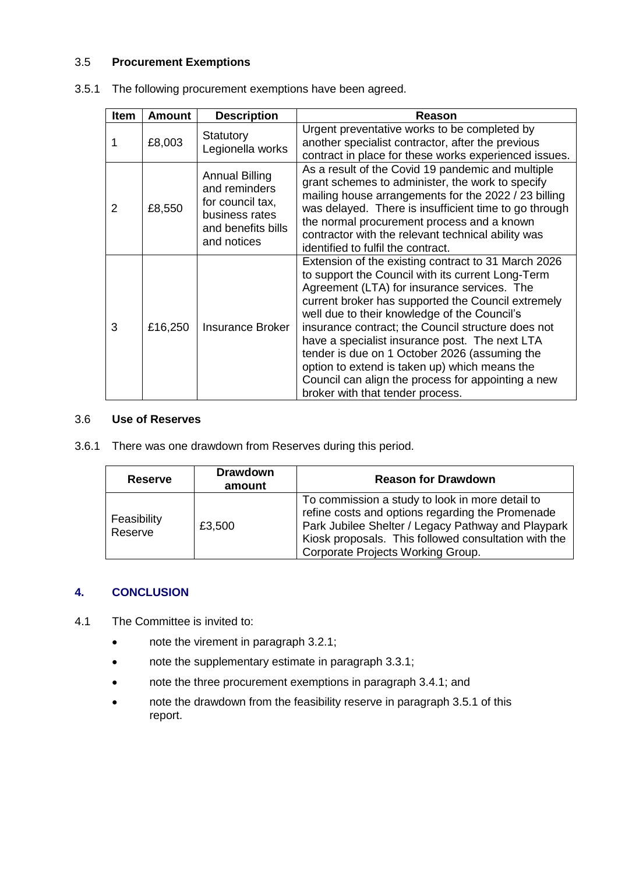## 3.5 **Procurement Exemptions**

| Item | <b>Amount</b> | <b>Description</b>                                                                                                | Reason                                                                                                                                                                                                                                                                                                                                                                                                                                                                                                                                                            |
|------|---------------|-------------------------------------------------------------------------------------------------------------------|-------------------------------------------------------------------------------------------------------------------------------------------------------------------------------------------------------------------------------------------------------------------------------------------------------------------------------------------------------------------------------------------------------------------------------------------------------------------------------------------------------------------------------------------------------------------|
|      | £8,003        | <b>Statutory</b><br>Legionella works                                                                              | Urgent preventative works to be completed by<br>another specialist contractor, after the previous<br>contract in place for these works experienced issues.                                                                                                                                                                                                                                                                                                                                                                                                        |
| 2    | £8,550        | <b>Annual Billing</b><br>and reminders<br>for council tax,<br>business rates<br>and benefits bills<br>and notices | As a result of the Covid 19 pandemic and multiple<br>grant schemes to administer, the work to specify<br>mailing house arrangements for the 2022 / 23 billing<br>was delayed. There is insufficient time to go through<br>the normal procurement process and a known<br>contractor with the relevant technical ability was<br>identified to fulfil the contract.                                                                                                                                                                                                  |
| 3    | £16,250       | <b>Insurance Broker</b>                                                                                           | Extension of the existing contract to 31 March 2026<br>to support the Council with its current Long-Term<br>Agreement (LTA) for insurance services. The<br>current broker has supported the Council extremely<br>well due to their knowledge of the Council's<br>insurance contract; the Council structure does not<br>have a specialist insurance post. The next LTA<br>tender is due on 1 October 2026 (assuming the<br>option to extend is taken up) which means the<br>Council can align the process for appointing a new<br>broker with that tender process. |

| 3.5.1 The following procurement exemptions have been agreed. |  |  |
|--------------------------------------------------------------|--|--|
|                                                              |  |  |

### 3.6 **Use of Reserves**

3.6.1 There was one drawdown from Reserves during this period.

| <b>Reserve</b>         | <b>Drawdown</b><br>amount | <b>Reason for Drawdown</b>                                                                                                                                                                                                                             |
|------------------------|---------------------------|--------------------------------------------------------------------------------------------------------------------------------------------------------------------------------------------------------------------------------------------------------|
| Feasibility<br>Reserve | £3,500                    | To commission a study to look in more detail to<br>refine costs and options regarding the Promenade<br>Park Jubilee Shelter / Legacy Pathway and Playpark<br>Kiosk proposals. This followed consultation with the<br>Corporate Projects Working Group. |

## **4. CONCLUSION**

- 4.1 The Committee is invited to:
	- note the virement in paragraph 3.2.1;
	- note the supplementary estimate in paragraph 3.3.1;
	- note the three procurement exemptions in paragraph 3.4.1; and
	- note the drawdown from the feasibility reserve in paragraph 3.5.1 of this report.